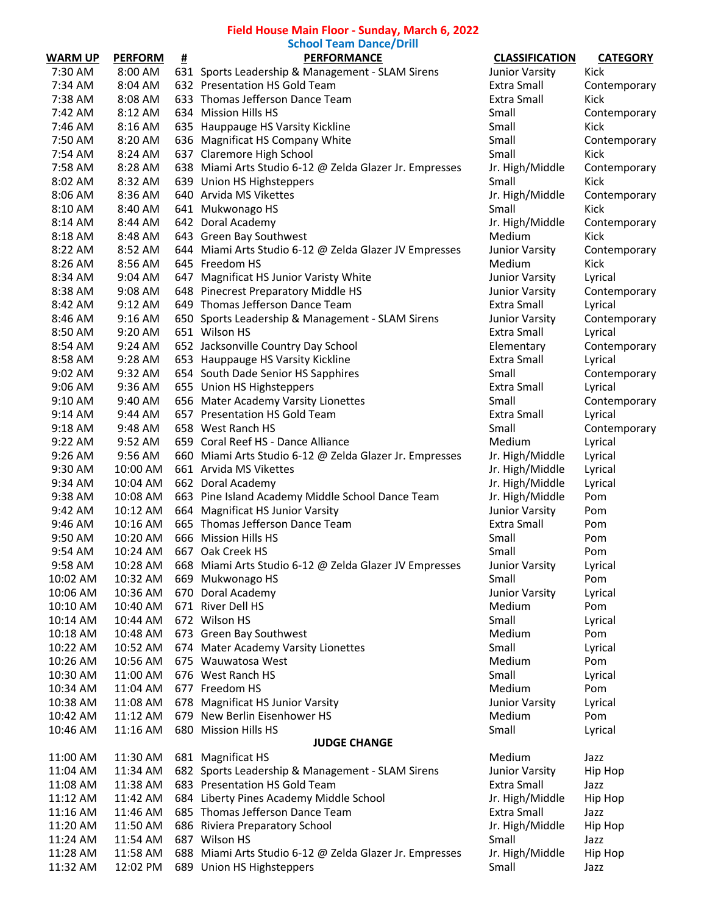## **Field House Main Floor - Sunday, March 6, 2022**

|           |                |   | <b>School Team Dance/Drill</b>                          |                       |                 |
|-----------|----------------|---|---------------------------------------------------------|-----------------------|-----------------|
| WARM UP   | <b>PERFORM</b> | # | <b>PERFORMANCE</b>                                      | <b>CLASSIFICATION</b> | <b>CATEGORY</b> |
| 7:30 AM   | 8:00 AM        |   | 631 Sports Leadership & Management - SLAM Sirens        | Junior Varsity        | Kick            |
| 7:34 AM   | 8:04 AM        |   | 632 Presentation HS Gold Team                           | Extra Small           | Contemporary    |
| 7:38 AM   | 8:08 AM        |   | 633 Thomas Jefferson Dance Team                         | Extra Small           | Kick            |
| 7:42 AM   | 8:12 AM        |   | 634 Mission Hills HS                                    | Small                 | Contemporary    |
| 7:46 AM   | 8:16 AM        |   | 635 Hauppauge HS Varsity Kickline                       | Small                 | Kick            |
| 7:50 AM   | 8:20 AM        |   | 636 Magnificat HS Company White                         | Small                 | Contemporary    |
| 7:54 AM   | 8:24 AM        |   | 637 Claremore High School                               | Small                 | Kick            |
| 7:58 AM   | 8:28 AM        |   | 638 Miami Arts Studio 6-12 @ Zelda Glazer Jr. Empresses | Jr. High/Middle       | Contemporary    |
| 8:02 AM   | 8:32 AM        |   | 639 Union HS Highsteppers                               | Small                 | Kick            |
| 8:06 AM   | 8:36 AM        |   | 640 Arvida MS Vikettes                                  | Jr. High/Middle       | Contemporary    |
| 8:10 AM   | 8:40 AM        |   | 641 Mukwonago HS                                        | Small                 | Kick            |
| 8:14 AM   | 8:44 AM        |   | 642 Doral Academy                                       | Jr. High/Middle       | Contemporary    |
| 8:18 AM   | 8:48 AM        |   | 643 Green Bay Southwest                                 | Medium                | Kick            |
| 8:22 AM   | 8:52 AM        |   | 644 Miami Arts Studio 6-12 @ Zelda Glazer JV Empresses  | Junior Varsity        | Contemporary    |
| 8:26 AM   | 8:56 AM        |   | 645 Freedom HS                                          | Medium                | Kick            |
| 8:34 AM   | 9:04 AM        |   | 647 Magnificat HS Junior Varisty White                  | Junior Varsity        | Lyrical         |
| 8:38 AM   | 9:08 AM        |   | 648 Pinecrest Preparatory Middle HS                     | Junior Varsity        | Contemporary    |
| 8:42 AM   | 9:12 AM        |   | 649 Thomas Jefferson Dance Team                         | <b>Extra Small</b>    | Lyrical         |
|           | 9:16 AM        |   | 650 Sports Leadership & Management - SLAM Sirens        | Junior Varsity        | Contemporary    |
| 8:46 AM   |                |   |                                                         | <b>Extra Small</b>    |                 |
| 8:50 AM   | 9:20 AM        |   | 651 Wilson HS<br>652 Jacksonville Country Day School    |                       | Lyrical         |
| 8:54 AM   | 9:24 AM        |   |                                                         | Elementary            | Contemporary    |
| 8:58 AM   | 9:28 AM        |   | 653 Hauppauge HS Varsity Kickline                       | Extra Small           | Lyrical         |
| 9:02 AM   | 9:32 AM        |   | 654 South Dade Senior HS Sapphires                      | Small                 | Contemporary    |
| $9:06$ AM | 9:36 AM        |   | 655 Union HS Highsteppers                               | Extra Small           | Lyrical         |
| 9:10 AM   | 9:40 AM        |   | 656 Mater Academy Varsity Lionettes                     | Small                 | Contemporary    |
| $9:14$ AM | 9:44 AM        |   | 657 Presentation HS Gold Team                           | Extra Small           | Lyrical         |
| 9:18 AM   | 9:48 AM        |   | 658 West Ranch HS                                       | Small                 | Contemporary    |
| $9:22$ AM | 9:52 AM        |   | 659 Coral Reef HS - Dance Alliance                      | Medium                | Lyrical         |
| 9:26 AM   | 9:56 AM        |   | 660 Miami Arts Studio 6-12 @ Zelda Glazer Jr. Empresses | Jr. High/Middle       | Lyrical         |
| 9:30 AM   | 10:00 AM       |   | 661 Arvida MS Vikettes                                  | Jr. High/Middle       | Lyrical         |
| 9:34 AM   | 10:04 AM       |   | 662 Doral Academy                                       | Jr. High/Middle       | Lyrical         |
| 9:38 AM   | 10:08 AM       |   | 663 Pine Island Academy Middle School Dance Team        | Jr. High/Middle       | Pom             |
| 9:42 AM   | 10:12 AM       |   | 664 Magnificat HS Junior Varsity                        | Junior Varsity        | Pom             |
| 9:46 AM   | 10:16 AM       |   | 665 Thomas Jefferson Dance Team                         | <b>Extra Small</b>    | Pom             |
| 9:50 AM   | 10:20 AM       |   | 666 Mission Hills HS                                    | Small                 | Pom             |
| 9:54 AM   | 10:24 AM       |   | 667 Oak Creek HS                                        | Small                 | Pom             |
| 9:58 AM   | 10:28 AM       |   | 668 Miami Arts Studio 6-12 @ Zelda Glazer JV Empresses  | Junior Varsity        | Lyrical         |
| 10:02 AM  | 10:32 AM       |   | 669 Mukwonago HS                                        | Small                 | Pom             |
| 10:06 AM  | 10:36 AM       |   | 670 Doral Academy                                       | Junior Varsity        | Lyrical         |
| 10:10 AM  | 10:40 AM       |   | 671 River Dell HS                                       | Medium                | Pom             |
| 10:14 AM  | 10:44 AM       |   | 672 Wilson HS                                           | Small                 | Lyrical         |
| 10:18 AM  | 10:48 AM       |   | 673 Green Bay Southwest                                 | Medium                | Pom             |
| 10:22 AM  | 10:52 AM       |   | 674 Mater Academy Varsity Lionettes                     | Small                 | Lyrical         |
| 10:26 AM  | 10:56 AM       |   | 675 Wauwatosa West                                      | Medium                | Pom             |
| 10:30 AM  | 11:00 AM       |   | 676 West Ranch HS                                       | Small                 | Lyrical         |
| 10:34 AM  | 11:04 AM       |   | 677 Freedom HS                                          | Medium                | Pom             |
| 10:38 AM  | 11:08 AM       |   | 678 Magnificat HS Junior Varsity                        | Junior Varsity        | Lyrical         |
| 10:42 AM  | 11:12 AM       |   | 679 New Berlin Eisenhower HS                            | Medium                | Pom             |
| 10:46 AM  | 11:16 AM       |   | 680 Mission Hills HS                                    | Small                 | Lyrical         |
|           |                |   | <b>JUDGE CHANGE</b>                                     |                       |                 |
| 11:00 AM  | 11:30 AM       |   | 681 Magnificat HS                                       | Medium                | Jazz            |
| 11:04 AM  | 11:34 AM       |   | 682 Sports Leadership & Management - SLAM Sirens        | Junior Varsity        | Hip Hop         |
| 11:08 AM  | 11:38 AM       |   | 683 Presentation HS Gold Team                           | Extra Small           | Jazz            |
| 11:12 AM  | 11:42 AM       |   | 684 Liberty Pines Academy Middle School                 | Jr. High/Middle       | Hip Hop         |
| 11:16 AM  | 11:46 AM       |   | 685 Thomas Jefferson Dance Team                         | <b>Extra Small</b>    | Jazz            |
| 11:20 AM  | 11:50 AM       |   | 686 Riviera Preparatory School                          | Jr. High/Middle       | Hip Hop         |
| 11:24 AM  | 11:54 AM       |   | 687 Wilson HS                                           | Small                 | Jazz            |
| 11:28 AM  | 11:58 AM       |   | 688 Miami Arts Studio 6-12 @ Zelda Glazer Jr. Empresses | Jr. High/Middle       | Hip Hop         |
| 11:32 AM  | 12:02 PM       |   | 689 Union HS Highsteppers                               | Small                 | Jazz            |
|           |                |   |                                                         |                       |                 |